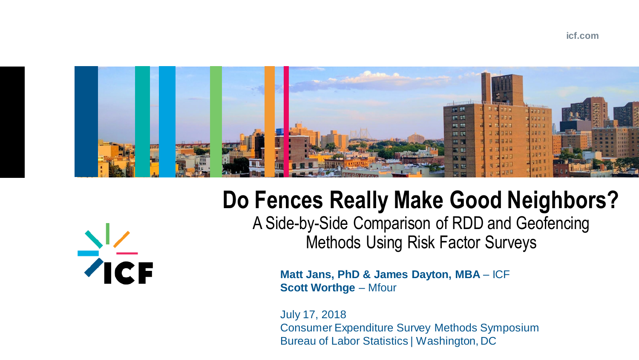## **icf.com**



## **Do Fences Really Make Good Neighbors?**  A Side-by-Side Comparison of RDD and Geofencing Methods Using Risk Factor Surveys

 $\frac{1}{2}$ 

**Matt Jans, PhD & James Dayton, MBA - ICF Scott Worthge – Mfour** 

July 17, 2018 Consumer Expenditure Survey Methods Symposium Bureau of Labor Statistics | Washington, DC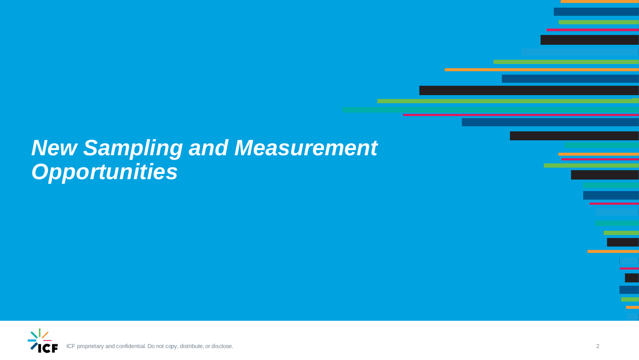## *New Sampling and Measurement Opportunities*



proprietary and confidential. Do not copy, distribute, or disclose.

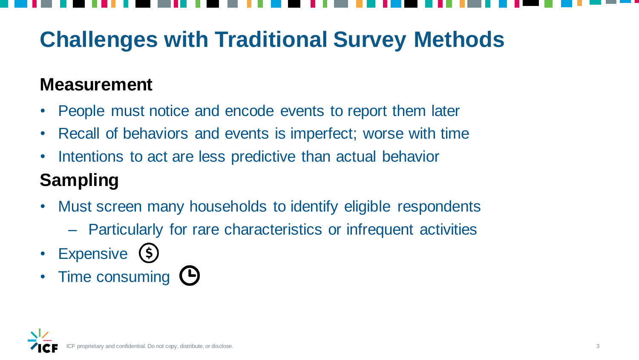

## **Challenges with Traditional Survey Methods**

## **Measurement**

- People must notice and encode events to report them later
- Recall of behaviors and events is imperfect; worse with time
- Intentions to act are less predictive than actual behavior

## **Sampling**

- Must screen many households to identify eligible respondents
	- Particularly for rare characteristics or infrequent activities
- Expensive (\$)
- Time consuming  $\Theta$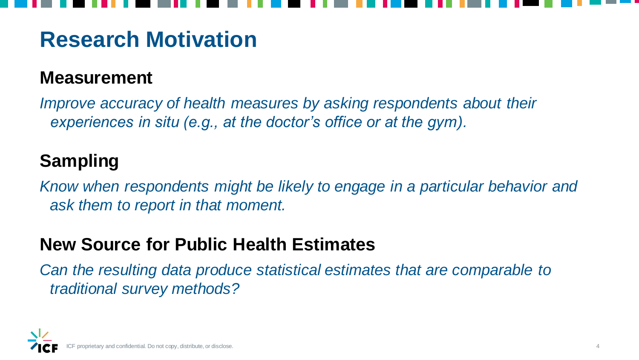



## **Research Motivation**

## **Measurement**

*Improve accuracy of health measures by asking respondents about their experiences in situ (e.g., at the doctor's office or at the gym).*

## **Sampling**

*Know when respondents might be likely to engage in a particular behavior and ask them to report in that moment.* 

## **New Source for Public Health Estimates**

*Can the resulting data produce statistical estimates that are comparable to traditional survey methods?*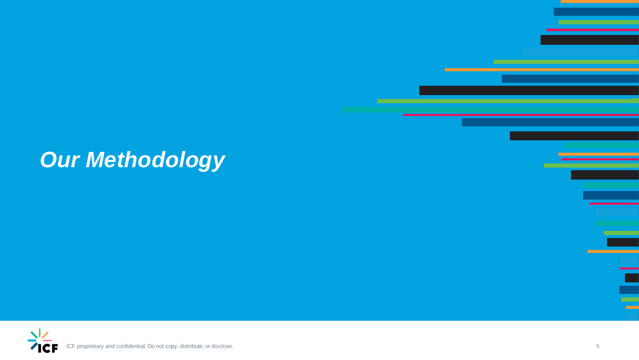ICF proprietary and confidential. Do not copy, distribute, or disclose.



## *Our Methodology*

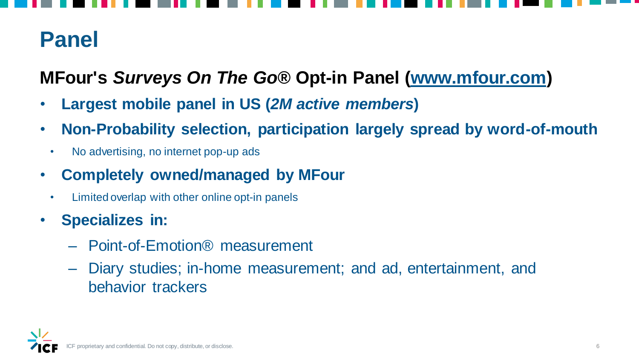



## **Panel**

**MFour's** *Surveys On The Go®* **Opt-in Panel [\(www.mfour.com](http://www.mfour.com/))** 

- **Largest mobile panel in US (***2M active members***)**
- **Non-Probability selection, participation largely spread by word-of-mouth**
	- No advertising, no internet pop-up ads
- **Completely owned/managed by MFour**
	- Limited overlap with other online opt-in panels
- **Specializes in:** 
	- Point-of-Emotion® measurement
	- Diary studies; in-home measurement; and ad, entertainment, and behavior trackers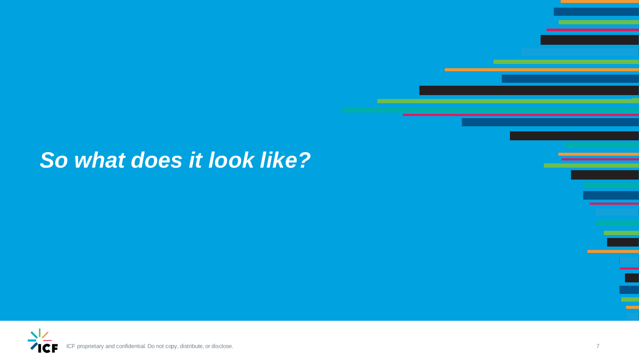## *So what does it look like?*



proprietary and confidential. Do not copy, distribute, or disclose. 7

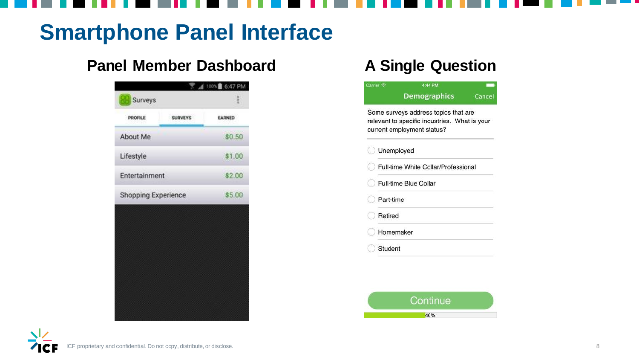

## **Smartphone Panel Interface**

## **Panel Member Dashboard A Single Question**

| 無知無<br>Surveys<br><b>SURVEYS</b><br>PROFILE<br>EARNED<br>\$0.50<br>Lifestyle<br>\$1.00 |
|----------------------------------------------------------------------------------------|
|                                                                                        |
| About Me                                                                               |
|                                                                                        |
|                                                                                        |
| \$2.00<br>Entertainment                                                                |
| \$5.00<br>Shopping Experience                                                          |

| Carrier <sub>?</sub> | 4:44 PM                                                                                                             |        |
|----------------------|---------------------------------------------------------------------------------------------------------------------|--------|
|                      | <b>Demographics</b>                                                                                                 | Cancel |
|                      | Some surveys address topics that are<br>relevant to specific industries. What is your<br>current employment status? |        |
|                      | Unemployed                                                                                                          |        |
|                      | Full-time White Collar/Professional                                                                                 |        |
|                      | <b>Full-time Blue Collar</b>                                                                                        |        |
| Part-time            |                                                                                                                     |        |
| Retired              |                                                                                                                     |        |
|                      | Homemaker                                                                                                           |        |
| Student              |                                                                                                                     |        |

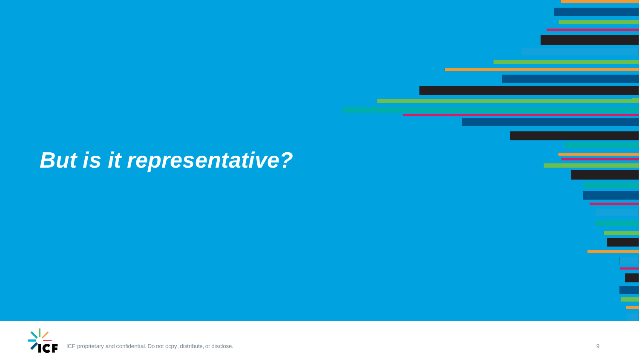## *But is it representative?*



proprietary and confidential. Do not copy, distribute, or disclose. 9

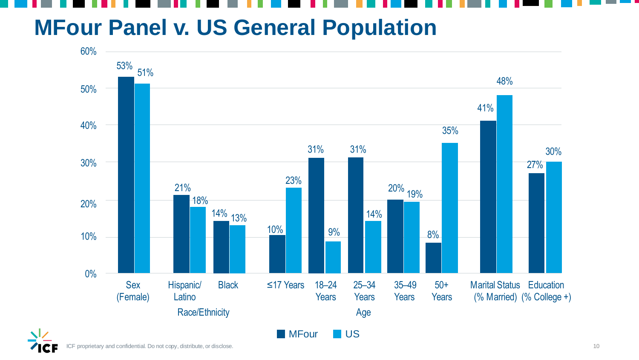## **MFour Panel v. US General Population**

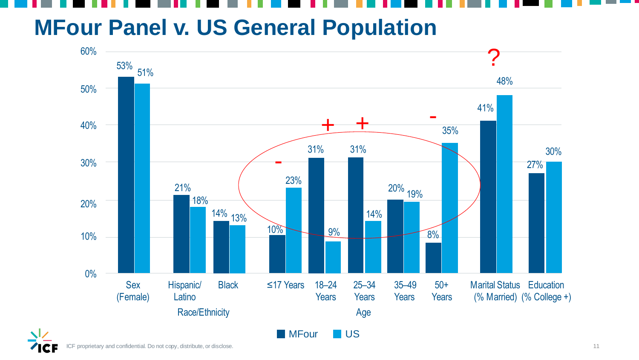## **MFour Panel v. US General Population**



proprietary and confidential. Do not copy, distribute, or disclose. 11

# 48% 27%

30%

## Marital Status Education (% Married) (% College +)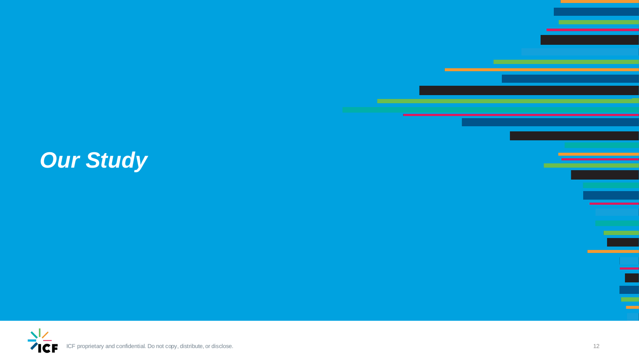



## *Our Study*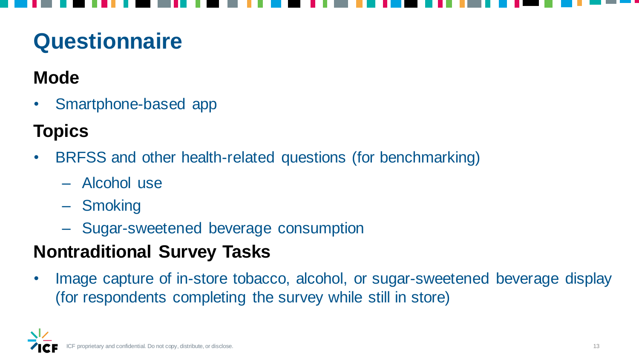## **Questionnaire**

## **Mode**

• Smartphone-based app

## **Topics**

- BRFSS and other health-related questions (for benchmarking)
	- Alcohol use
	- Smoking
	- Sugar-sweetened beverage consumption

Image capture of in-store tobacco, alcohol, or sugar-sweetened beverage display (for respondents completing the survey while still in store)

## **Nontraditional Survey Tasks**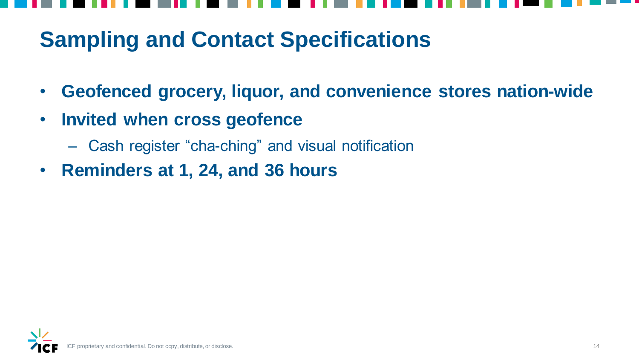![](_page_13_Picture_7.jpeg)

## **Sampling and Contact Specifications**

- **Geofenced grocery, liquor, and convenience stores nation-wide**
- **Invited when cross geofence** 
	- Cash register "cha-ching" and visual notification
- **Reminders at 1, 24, and 36 hours**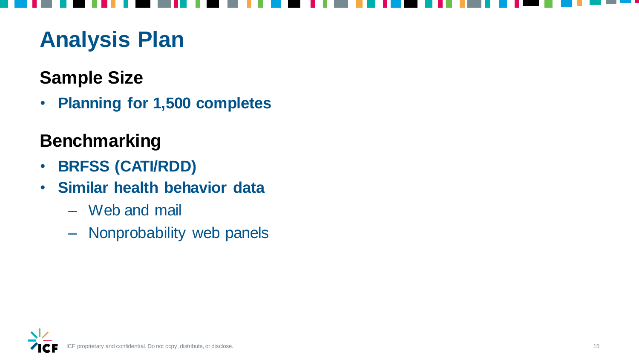## **Analysis Plan**

## **Sample Size**

• **Planning for 1,500 completes**

## **Benchmarking**

- **BRFSS (CATI/RDD)**
- **Similar health behavior data** 
	- Web and mail
	- Nonprobability web panels

roprietary and confidential. Do not copy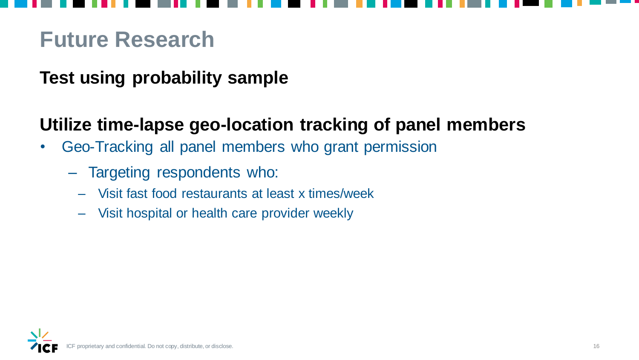## **Future Research**

## **Test using probability sample**

## **Utilize time-lapse geo-location tracking of panel members**

- Geo-Tracking all panel members who grant permission
	- Targeting respondents who:
		- Visit fast food restaurants at least x times/week
		- Visit hospital or health care provider weekly